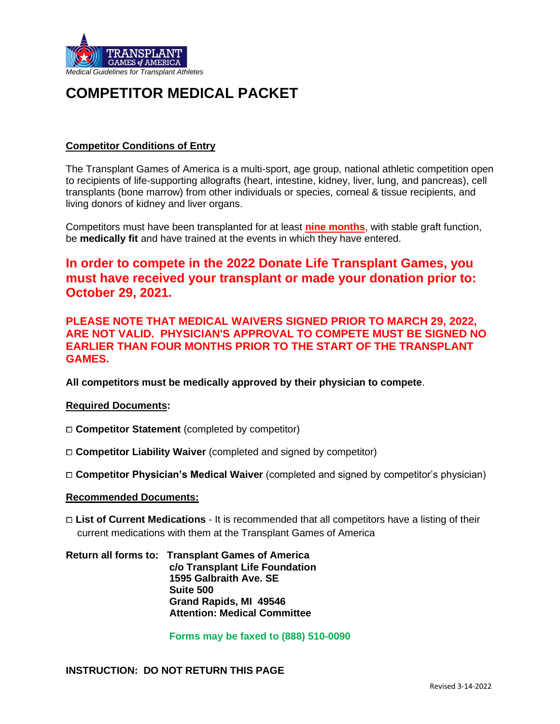

# **COMPETITOR MEDICAL PACKET**

## **Competitor Conditions of Entry**

The Transplant Games of America is a multi-sport, age group, national athletic competition open to recipients of life-supporting allografts (heart, intestine, kidney, liver, lung, and pancreas), cell transplants (bone marrow) from other individuals or species, corneal & tissue recipients, and living donors of kidney and liver organs.

Competitors must have been transplanted for at least **nine months**, with stable graft function, be **medically fit** and have trained at the events in which they have entered.

## **In order to compete in the 2022 Donate Life Transplant Games, you must have received your transplant or made your donation prior to: October 29, 2021.**

## **PLEASE NOTE THAT MEDICAL WAIVERS SIGNED PRIOR TO MARCH 29, 2022, ARE NOT VALID. PHYSICIAN'S APPROVAL TO COMPETE MUST BE SIGNED NO EARLIER THAN FOUR MONTHS PRIOR TO THE START OF THE TRANSPLANT GAMES.**

**All competitors must be medically approved by their physician to compete**.

### **Required Documents:**

- □ **Competitor Statement** (completed by competitor)
- □ **Competitor Liability Waiver** (completed and signed by competitor)
- ⧠ **Competitor Physician's Medical Waiver** (completed and signed by competitor's physician)

### **Recommended Documents:**

□ **List of Current Medications** - It is recommended that all competitors have a listing of their current medications with them at the Transplant Games of America

**Return all forms to: Transplant Games of America c/o Transplant Life Foundation 1595 Galbraith Ave. SE Suite 500 Grand Rapids, MI 49546 Attention: Medical Committee**

 **Forms may be faxed to (888) 510-0090**

**INSTRUCTION: DO NOT RETURN THIS PAGE**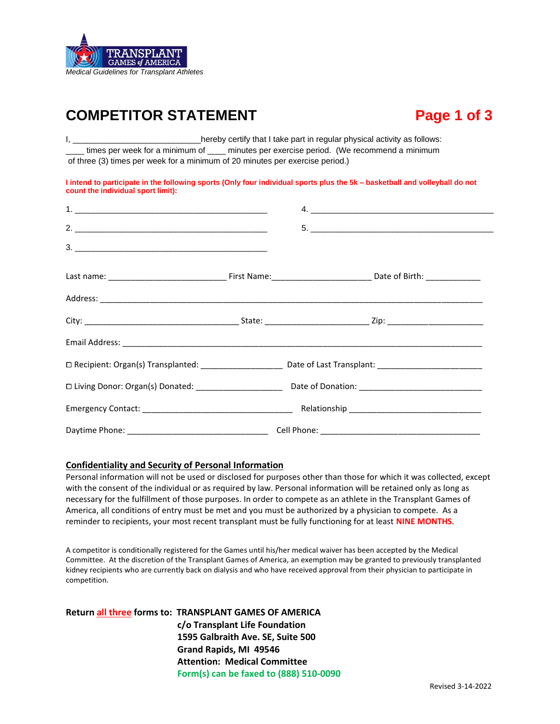

# **COMPETITOR STATEMENT Fage 1 of 3**

I, \_\_\_\_\_\_\_\_\_\_\_\_\_\_\_\_\_\_\_\_\_\_\_\_\_\_\_\_\_hereby certify that I take part in regular physical activity as follows: times per week for a minimum of \_\_\_\_ minutes per exercise period. (We recommend a minimum of three (3) times per week for a minimum of 20 minutes per exercise period.)

**I intend to participate in the following sports (Only four individual sports plus the 5k – basketball and volleyball do not count the individual sport limit):**

| 2.                                                                | 5. |
|-------------------------------------------------------------------|----|
| $\begin{array}{c} \n \text{3.} \quad \text{________} \end{array}$ |    |
|                                                                   |    |
|                                                                   |    |
|                                                                   |    |
|                                                                   |    |
|                                                                   |    |
|                                                                   |    |
|                                                                   |    |
|                                                                   |    |

### **Confidentiality and Security of Personal Information**

Personal information will not be used or disclosed for purposes other than those for which it was collected, except with the consent of the individual or as required by law. Personal information will be retained only as long as necessary for the fulfillment of those purposes. In order to compete as an athlete in the Transplant Games of America, all conditions of entry must be met and you must be authorized by a physician to compete. As a reminder to recipients, your most recent transplant must be fully functioning for at least **NINE MONTHS**.

A competitor is conditionally registered for the Games until his/her medical waiver has been accepted by the Medical Committee. At the discretion of the Transplant Games of America, an exemption may be granted to previously transplanted kidney recipients who are currently back on dialysis and who have received approval from their physician to participate in competition.

**Return all three forms to: TRANSPLANT GAMES OF AMERICA c/o Transplant Life Foundation 1595 Galbraith Ave. SE, Suite 500 Grand Rapids, MI 49546 Attention: Medical Committee Form(s) can be faxed to (888) 510-0090**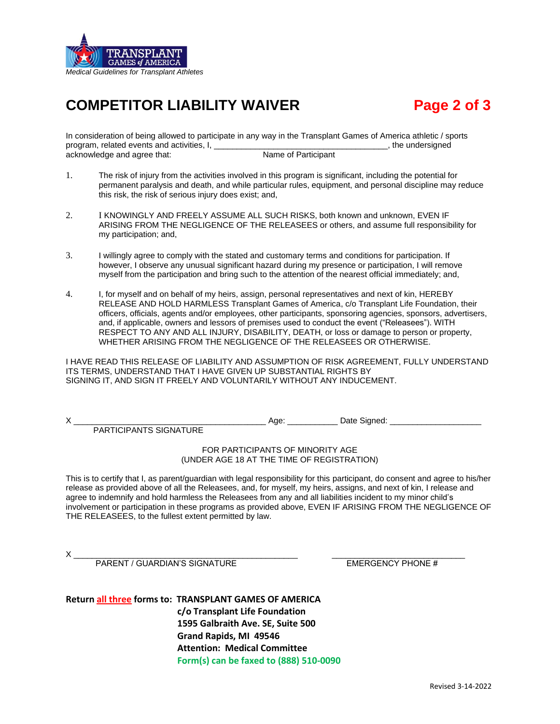

# **COMPETITOR LIABILITY WAIVER Page 2 of 3**

In consideration of being allowed to participate in any way in the Transplant Games of America athletic / sports program, related events and activities, I, \_\_\_\_\_\_\_\_\_\_\_\_\_\_\_\_\_\_\_\_\_\_\_\_\_\_\_\_\_\_\_\_\_\_\_\_\_\_, the undersigned acknowledge and agree that: Name of Participant

- 1. The risk of injury from the activities involved in this program is significant, including the potential for permanent paralysis and death, and while particular rules, equipment, and personal discipline may reduce this risk, the risk of serious injury does exist; and,
- 2. I KNOWINGLY AND FREELY ASSUME ALL SUCH RISKS, both known and unknown, EVEN IF ARISING FROM THE NEGLIGENCE OF THE RELEASEES or others, and assume full responsibility for my participation; and,
- 3. I willingly agree to comply with the stated and customary terms and conditions for participation. If however, I observe any unusual significant hazard during my presence or participation, I will remove myself from the participation and bring such to the attention of the nearest official immediately; and,
- 4. I, for myself and on behalf of my heirs, assign, personal representatives and next of kin, HEREBY RELEASE AND HOLD HARMLESS Transplant Games of America, c/o Transplant Life Foundation, their officers, officials, agents and/or employees, other participants, sponsoring agencies, sponsors, advertisers, and, if applicable, owners and lessors of premises used to conduct the event ("Releasees"). WITH RESPECT TO ANY AND ALL INJURY, DISABILITY, DEATH, or loss or damage to person or property, WHETHER ARISING FROM THE NEGLIGENCE OF THE RELEASEES OR OTHERWISE.

I HAVE READ THIS RELEASE OF LIABILITY AND ASSUMPTION OF RISK AGREEMENT, FULLY UNDERSTAND ITS TERMS, UNDERSTAND THAT I HAVE GIVEN UP SUBSTANTIAL RIGHTS BY SIGNING IT, AND SIGN IT FREELY AND VOLUNTARILY WITHOUT ANY INDUCEMENT.

PARTICIPANTS SIGNATURE

X \_\_\_\_\_\_\_\_\_\_\_\_\_\_\_\_\_\_\_\_\_\_\_\_\_\_\_\_\_\_\_\_\_\_\_\_\_\_\_\_\_\_ Age: \_\_\_\_\_\_\_\_\_\_\_ Date Signed: \_\_\_\_\_\_\_\_\_\_\_\_\_\_\_\_\_\_\_\_

### FOR PARTICIPANTS OF MINORITY AGE (UNDER AGE 18 AT THE TIME OF REGISTRATION)

This is to certify that I, as parent/guardian with legal responsibility for this participant, do consent and agree to his/her release as provided above of all the Releasees, and, for myself, my heirs, assigns, and next of kin, I release and agree to indemnify and hold harmless the Releasees from any and all liabilities incident to my minor child's involvement or participation in these programs as provided above, EVEN IF ARISING FROM THE NEGLIGENCE OF THE RELEASEES, to the fullest extent permitted by law.

 $\times$   $\_\_$ PARENT / GUARDIAN'S SIGNATURE **EMERGENCY PHONE #** 

**Return all three forms to: TRANSPLANT GAMES OF AMERICA c/o Transplant Life Foundation 1595 Galbraith Ave. SE, Suite 500 Grand Rapids, MI 49546 Attention: Medical Committee Form(s) can be faxed to (888) 510-0090**